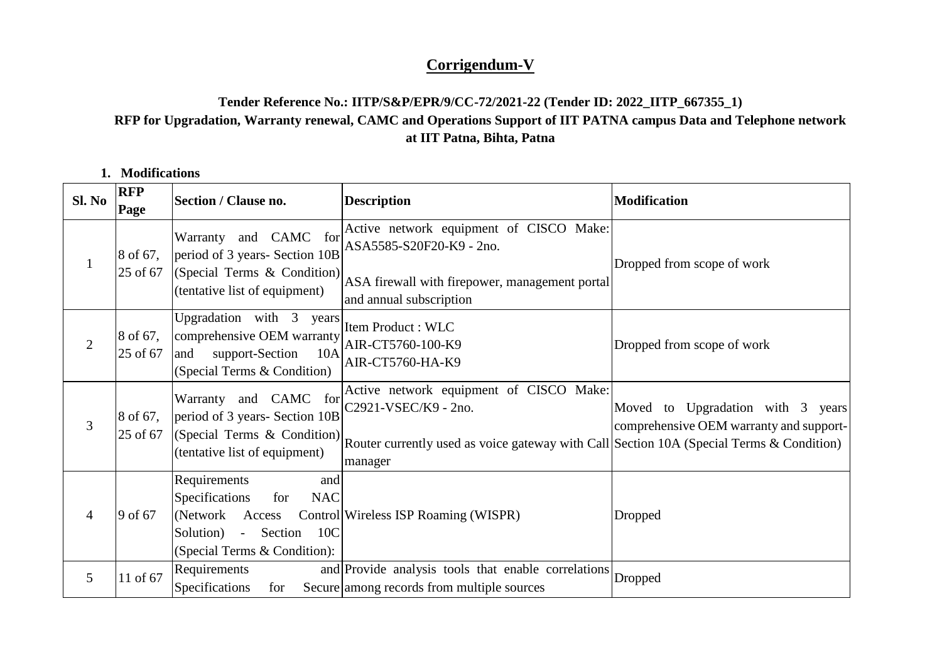## **Corrigendum-V**

## **Tender Reference No.: IITP/S&P/EPR/9/CC-72/2021-22 (Tender ID: 2022\_IITP\_667355\_1) RFP for Upgradation, Warranty renewal, CAMC and Operations Support of IIT PATNA campus Data and Telephone network at IIT Patna, Bihta, Patna**

## **1. Modifications**

| Sl. No         | <b>RFP</b><br>Page   | <b>Section / Clause no.</b>                                                                                                                                                   | <b>Description</b>                                                                                                                                                     | <b>Modification</b>                                                          |
|----------------|----------------------|-------------------------------------------------------------------------------------------------------------------------------------------------------------------------------|------------------------------------------------------------------------------------------------------------------------------------------------------------------------|------------------------------------------------------------------------------|
| $\mathbf{1}$   | 8 of 67,<br>25 of 67 | and CAMC for<br>Warranty<br>period of 3 years- Section 10B<br>(Special Terms & Condition)<br>(tentative list of equipment)                                                    | Active network equipment of CISCO Make:<br>ASA5585-S20F20-K9 - 2no.<br>ASA firewall with firepower, management portal<br>and annual subscription                       | Dropped from scope of work                                                   |
| $\overline{2}$ | 8 of 67,<br>25 of 67 | Upgradation with 3 years<br>comprehensive OEM warranty<br>support-Section<br>10A<br>and<br>(Special Terms & Condition)                                                        | Item Product: WLC<br>AIR-CT5760-100-K9<br>AIR-CT5760-HA-K9                                                                                                             | Dropped from scope of work                                                   |
| 3              | 8 of 67,<br>25 of 67 | and CAMC for<br>Warranty<br>period of 3 years- Section 10B<br>(Special Terms & Condition)<br>(tentative list of equipment)                                                    | Active network equipment of CISCO Make:<br>C2921-VSEC/K9 - 2no.<br>Router currently used as voice gateway with Call Section 10A (Special Terms & Condition)<br>manager | Moved to Upgradation with 3 years<br>comprehensive OEM warranty and support- |
| 4              | 9 of 67              | Requirements<br>and<br><b>Specifications</b><br><b>NAC</b><br>for<br>(Network)<br>Access<br>Section<br>10 <sup>C</sup><br>Solution)<br>$\sim$<br>(Special Terms & Condition): | Control Wireless ISP Roaming (WISPR)                                                                                                                                   | Dropped                                                                      |
| 5              | 11 of 67             | Requirements<br><b>Specifications</b><br>for                                                                                                                                  | and Provide analysis tools that enable correlations<br>Secure among records from multiple sources                                                                      | Dropped                                                                      |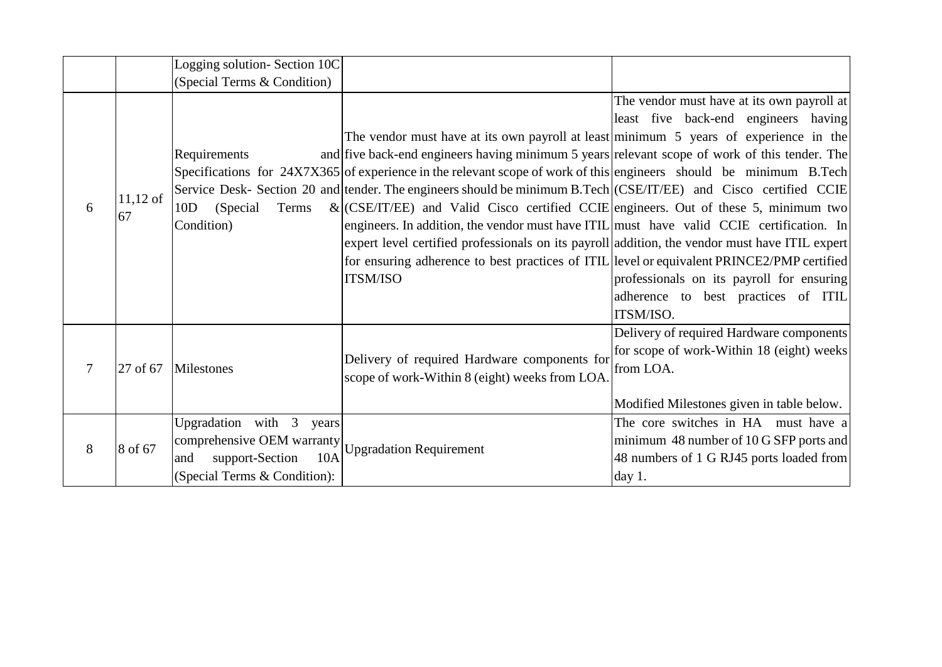|   |                  | Logging solution-Section 10C  |                                                                                                                    |                                            |
|---|------------------|-------------------------------|--------------------------------------------------------------------------------------------------------------------|--------------------------------------------|
|   |                  | (Special Terms & Condition)   |                                                                                                                    |                                            |
|   |                  |                               |                                                                                                                    | The vendor must have at its own payroll at |
|   | $11,12$ of<br>67 |                               |                                                                                                                    | least five back-end engineers having       |
|   |                  |                               | The vendor must have at its own payroll at least minimum 5 years of experience in the                              |                                            |
|   |                  | Requirements                  | and five back-end engineers having minimum 5 years relevant scope of work of this tender. The                      |                                            |
|   |                  |                               | Specifications for 24X7X365 of experience in the relevant scope of work of this engineers should be minimum B.Tech |                                            |
|   |                  |                               | Service Desk- Section 20 and tender. The engineers should be minimum B.Tech (CSE/IT/EE) and Cisco certified CCIE   |                                            |
| 6 |                  | 10D<br>(Special)<br>Terms     | $\&$ (CSE/IT/EE) and Valid Cisco certified CCIE engineers. Out of these 5, minimum two                             |                                            |
|   |                  | Condition)                    | engineers. In addition, the vendor must have ITIL must have valid CCIE certification. In                           |                                            |
|   |                  |                               | expert level certified professionals on its payroll addition, the vendor must have ITIL expert                     |                                            |
|   |                  |                               | for ensuring adherence to best practices of ITIL level or equivalent PRINCE2/PMP certified                         |                                            |
|   |                  |                               | <b>ITSM/ISO</b>                                                                                                    | professionals on its payroll for ensuring  |
|   |                  |                               |                                                                                                                    | adherence to best practices of ITIL        |
|   |                  |                               |                                                                                                                    | ITSM/ISO.                                  |
|   | 27 of 67         |                               |                                                                                                                    | Delivery of required Hardware components   |
|   |                  | Milestones                    | Delivery of required Hardware components for                                                                       | for scope of work-Within 18 (eight) weeks  |
| 7 |                  |                               |                                                                                                                    | from LOA.                                  |
|   |                  |                               | scope of work-Within 8 (eight) weeks from LOA.                                                                     |                                            |
|   |                  |                               |                                                                                                                    | Modified Milestones given in table below.  |
| 8 | 8 of 67          | Upgradation with 3 years      |                                                                                                                    | The core switches in HA must have a        |
|   |                  | comprehensive OEM warranty    | <b>Upgradation Requirement</b>                                                                                     | minimum 48 number of 10 G SFP ports and    |
|   |                  | 10A<br>support-Section<br>and |                                                                                                                    | 48 numbers of 1 G RJ45 ports loaded from   |
|   |                  | (Special Terms & Condition):  |                                                                                                                    | day 1.                                     |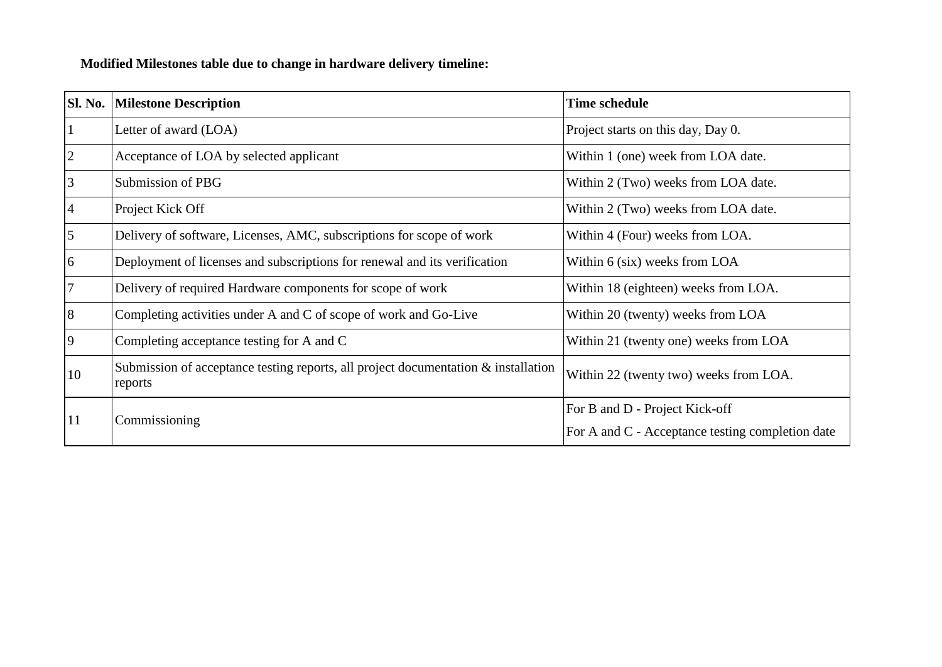**Modified Milestones table due to change in hardware delivery timeline:**

| <b>Sl. No.</b> | <b>Milestone Description</b>                                                                     | <b>Time schedule</b>                             |
|----------------|--------------------------------------------------------------------------------------------------|--------------------------------------------------|
|                | Letter of award (LOA)                                                                            | Project starts on this day, Day 0.               |
| $\overline{2}$ | Acceptance of LOA by selected applicant                                                          | Within 1 (one) week from LOA date.               |
| 3              | Submission of PBG                                                                                | Within 2 (Two) weeks from LOA date.              |
| 4              | Project Kick Off                                                                                 | Within 2 (Two) weeks from LOA date.              |
| 5              | Delivery of software, Licenses, AMC, subscriptions for scope of work                             | Within 4 (Four) weeks from LOA.                  |
| 6              | Deployment of licenses and subscriptions for renewal and its verification                        | Within 6 (six) weeks from LOA                    |
| $\overline{7}$ | Delivery of required Hardware components for scope of work                                       | Within 18 (eighteen) weeks from LOA.             |
| 8              | Completing activities under A and C of scope of work and Go-Live                                 | Within 20 (twenty) weeks from LOA                |
| $\overline{9}$ | Completing acceptance testing for A and C                                                        | Within 21 (twenty one) weeks from LOA            |
| 10             | Submission of acceptance testing reports, all project documentation $\&$ installation<br>reports | Within 22 (twenty two) weeks from LOA.           |
| 11             | Commissioning                                                                                    | For B and D - Project Kick-off                   |
|                |                                                                                                  | For A and C - Acceptance testing completion date |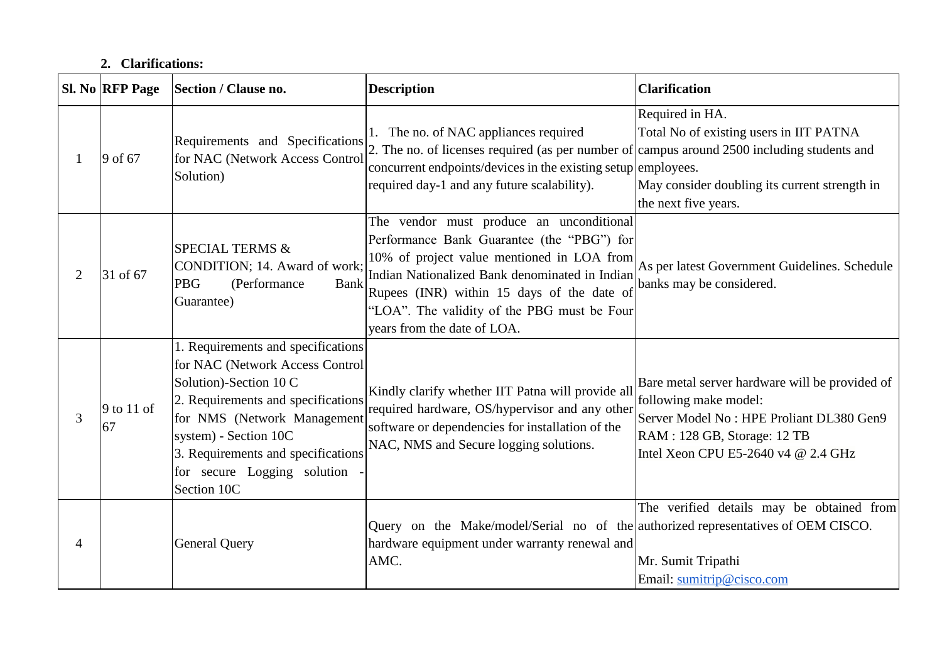## **2. Clarifications:**

|                | <b>Sl. No RFP Page</b> | Section / Clause no.                                                                                                                                                                                                                                                              | <b>Description</b>                                                                                                                                                                                                                                                                                                 | <b>Clarification</b>                                                                                                                                                                       |
|----------------|------------------------|-----------------------------------------------------------------------------------------------------------------------------------------------------------------------------------------------------------------------------------------------------------------------------------|--------------------------------------------------------------------------------------------------------------------------------------------------------------------------------------------------------------------------------------------------------------------------------------------------------------------|--------------------------------------------------------------------------------------------------------------------------------------------------------------------------------------------|
|                | 9 of 67                | Requirements and Specifications<br>for NAC (Network Access Control<br>Solution)                                                                                                                                                                                                   | 1. The no. of NAC appliances required<br>2. The no. of licenses required (as per number of campus around 2500 including students and<br>concurrent endpoints/devices in the existing setup employees.<br>required day-1 and any future scalability).                                                               | Required in HA.<br>Total No of existing users in IIT PATNA<br>May consider doubling its current strength in<br>the next five years.                                                        |
| $\overline{2}$ | 31 of 67               | <b>SPECIAL TERMS &amp;</b><br>CONDITION; 14. Award of work;<br><b>PBG</b><br>(Performance)<br><b>Bank</b><br>Guarantee)                                                                                                                                                           | The vendor must produce an unconditional<br>Performance Bank Guarantee (the "PBG") for<br>10% of project value mentioned in LOA from<br>Indian Nationalized Bank denominated in Indian<br>Rupees (INR) within 15 days of the date of<br>"LOA". The validity of the PBG must be Four<br>years from the date of LOA. | As per latest Government Guidelines. Schedule<br>banks may be considered.                                                                                                                  |
| 3              | 9 to 11 of<br>67       | 1. Requirements and specifications<br>for NAC (Network Access Control<br>Solution)-Section 10 C<br>2. Requirements and specifications<br>for NMS (Network Management<br>system) - Section 10C<br>3. Requirements and specifications<br>for secure Logging solution<br>Section 10C | Kindly clarify whether IIT Patna will provide all<br>required hardware, OS/hypervisor and any other<br>software or dependencies for installation of the<br>NAC, NMS and Secure logging solutions.                                                                                                                  | Bare metal server hardware will be provided of<br>following make model:<br>Server Model No: HPE Proliant DL380 Gen9<br>RAM : 128 GB, Storage: 12 TB<br>Intel Xeon CPU E5-2640 v4 @ 2.4 GHz |
| 4              |                        | <b>General Query</b>                                                                                                                                                                                                                                                              | Query on the Make/model/Serial no of the authorized representatives of OEM CISCO.<br>hardware equipment under warranty renewal and<br>AMC.                                                                                                                                                                         | The verified details may be obtained from<br>Mr. Sumit Tripathi<br>Email: sumitrip@cisco.com                                                                                               |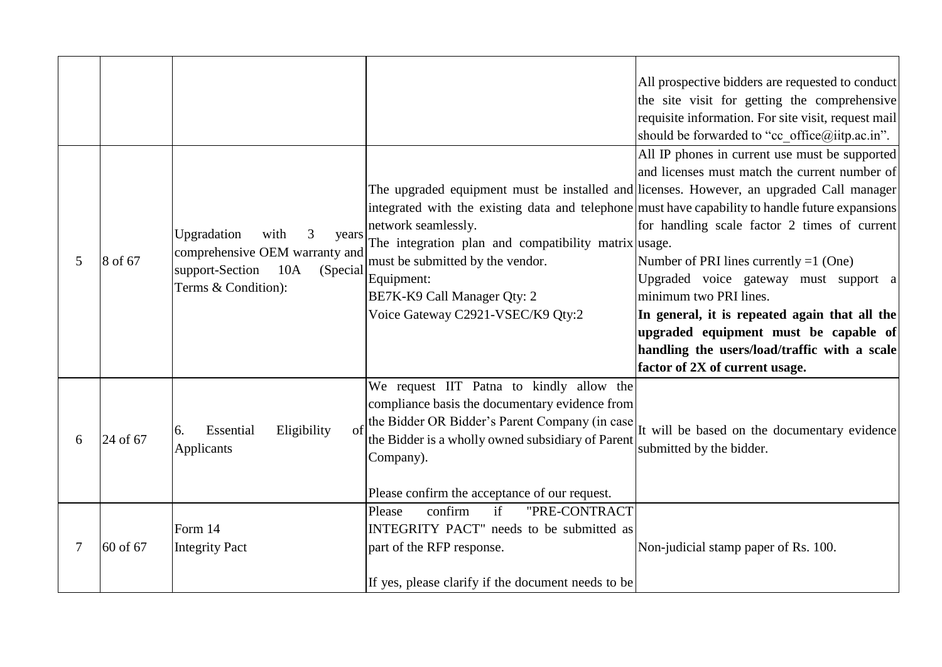|   |          |                                                           |                                                                                                  | All prospective bidders are requested to conduct<br>the site visit for getting the comprehensive<br>requisite information. For site visit, request mail |
|---|----------|-----------------------------------------------------------|--------------------------------------------------------------------------------------------------|---------------------------------------------------------------------------------------------------------------------------------------------------------|
|   |          |                                                           |                                                                                                  | should be forwarded to "cc office@iitp.ac.in".                                                                                                          |
|   |          |                                                           |                                                                                                  | All IP phones in current use must be supported                                                                                                          |
|   |          |                                                           |                                                                                                  | and licenses must match the current number of                                                                                                           |
|   |          |                                                           | The upgraded equipment must be installed and licenses. However, an upgraded Call manager         |                                                                                                                                                         |
|   |          |                                                           | integrated with the existing data and telephone must have capability to handle future expansions |                                                                                                                                                         |
|   |          | Upgradation<br>with<br>3<br>years                         | network seamlessly.                                                                              | for handling scale factor 2 times of current                                                                                                            |
|   |          | comprehensive OEM warranty and                            | The integration plan and compatibility matrix usage.                                             |                                                                                                                                                         |
| 5 | 8 of 67  | support-Section<br>10A<br>(Special<br>Terms & Condition): | must be submitted by the vendor.                                                                 | Number of PRI lines currently $=1$ (One)                                                                                                                |
|   |          |                                                           | Equipment:                                                                                       | Upgraded voice gateway must support a                                                                                                                   |
|   |          |                                                           | BE7K-K9 Call Manager Qty: 2                                                                      | minimum two PRI lines.                                                                                                                                  |
|   |          |                                                           | Voice Gateway C2921-VSEC/K9 Qty:2                                                                | In general, it is repeated again that all the                                                                                                           |
|   |          |                                                           |                                                                                                  | upgraded equipment must be capable of                                                                                                                   |
|   |          |                                                           |                                                                                                  | handling the users/load/traffic with a scale                                                                                                            |
|   |          |                                                           |                                                                                                  | factor of 2X of current usage.                                                                                                                          |
|   | 24 of 67 | Essential<br>Eligibility<br>of<br>6.<br>Applicants        | We request IIT Patna to kindly allow the                                                         |                                                                                                                                                         |
|   |          |                                                           | compliance basis the documentary evidence from                                                   |                                                                                                                                                         |
|   |          |                                                           | the Bidder OR Bidder's Parent Company (in case                                                   | It will be based on the documentary evidence                                                                                                            |
| 6 |          |                                                           | the Bidder is a wholly owned subsidiary of Parent                                                | submitted by the bidder.                                                                                                                                |
|   |          |                                                           | Company).                                                                                        |                                                                                                                                                         |
|   |          |                                                           |                                                                                                  |                                                                                                                                                         |
|   |          |                                                           | Please confirm the acceptance of our request.                                                    |                                                                                                                                                         |
|   |          |                                                           | if<br>"PRE-CONTRACT<br>confirm<br>Please                                                         |                                                                                                                                                         |
|   |          | Form 14                                                   | INTEGRITY PACT" needs to be submitted as                                                         |                                                                                                                                                         |
|   |          |                                                           |                                                                                                  |                                                                                                                                                         |
| 7 | 60 of 67 | <b>Integrity Pact</b>                                     | part of the RFP response.                                                                        | Non-judicial stamp paper of Rs. 100.                                                                                                                    |